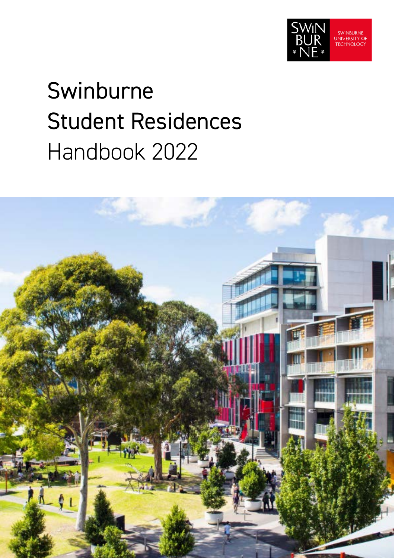

# Swinburne Student Residences Handbook 2022

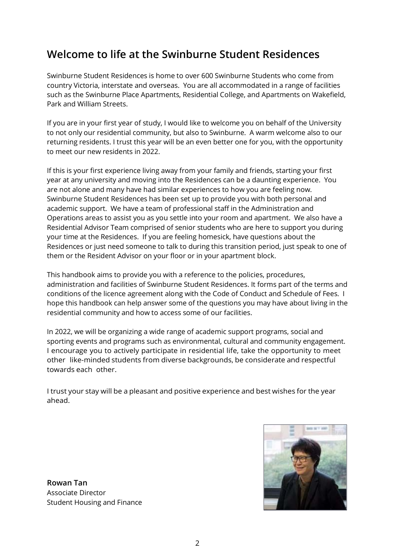### **Welcome to life at the Swinburne Student Residences**

Swinburne Student Residences is home to over 600 Swinburne Students who come from country Victoria, interstate and overseas. You are all accommodated in a range of facilities such as the Swinburne Place Apartments, Residential College, and Apartments on Wakefield, Park and William Streets.

If you are in your first year of study, I would like to welcome you on behalf of the University to not only our residential community, but also to Swinburne. A warm welcome also to our returning residents. I trust this year will be an even better one for you, with the opportunity to meet our new residents in 2022.

If this is your first experience living away from your family and friends, starting your first year at any university and moving into the Residences can be a daunting experience. You are not alone and many have had similar experiences to how you are feeling now. Swinburne Student Residences has been set up to provide you with both personal and academic support. We have a team of professional staff in the Administration and Operations areas to assist you as you settle into your room and apartment. We also have a Residential Advisor Team comprised of senior students who are here to support you during your time at the Residences. If you are feeling homesick, have questions about the Residences or just need someone to talk to during this transition period, just speak to one of them or the Resident Advisor on your floor or in your apartment block.

This handbook aims to provide you with a reference to the policies, procedures, administration and facilities of Swinburne Student Residences. It forms part of the terms and conditions of the licence agreement along with the Code of Conduct and Schedule of Fees. I hope this handbook can help answer some of the questions you may have about living in the residential community and how to access some of our facilities.

In 2022, we will be organizing a wide range of academic support programs, social and sporting events and programs such as environmental, cultural and community engagement. I encourage you to actively participate in residential life, take the opportunity to meet other like-minded students from diverse backgrounds, be considerate and respectful towards each other.

I trust your stay will be a pleasant and positive experience and best wishes for the year ahead.

**Rowan Tan** Associate Director Student Housing and Finance

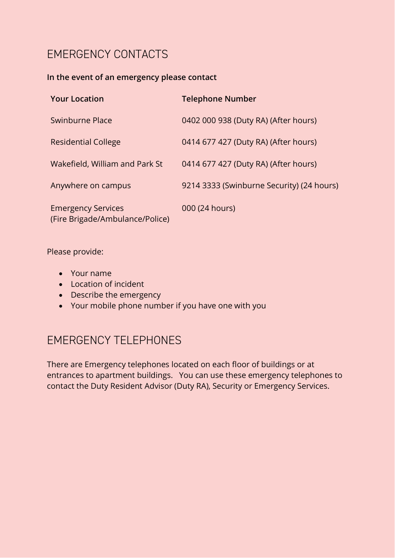### EMERGENCY CONTACTS

#### **In the event of an emergency please contact**

| <b>Your Location</b>                                         | <b>Telephone Number</b>                   |
|--------------------------------------------------------------|-------------------------------------------|
| Swinburne Place                                              | 0402 000 938 (Duty RA) (After hours)      |
| <b>Residential College</b>                                   | 0414 677 427 (Duty RA) (After hours)      |
| Wakefield, William and Park St                               | 0414 677 427 (Duty RA) (After hours)      |
| Anywhere on campus                                           | 9214 3333 (Swinburne Security) (24 hours) |
| <b>Emergency Services</b><br>(Fire Brigade/Ambulance/Police) | 000 (24 hours)                            |

Please provide:

- Your name
- Location of incident
- Describe the emergency
- Your mobile phone number if you have one with you

### EMERGENCY TELEPHONES

There are Emergency telephones located on each floor of buildings or at entrances to apartment buildings. You can use these emergency telephones to contact the Duty Resident Advisor (Duty RA), Security or Emergency Services.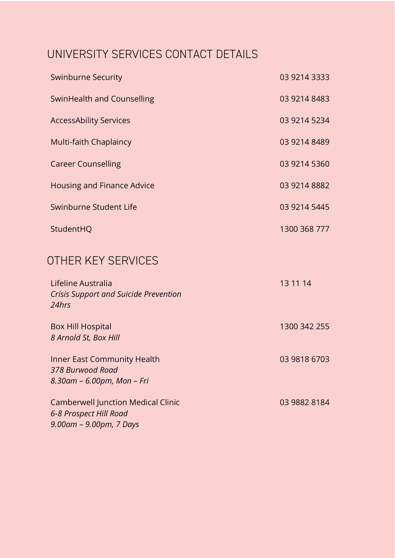## UNIVERSITY SERVICES CONTACT DETAILS

| <b>Swinburne Security</b>     | 03 9214 3333 |
|-------------------------------|--------------|
| SwinHealth and Counselling    | 03 9214 8483 |
| <b>AccessAbility Services</b> | 03 9214 5234 |
| Multi-faith Chaplaincy        | 03 9214 8489 |
| <b>Career Counselling</b>     | 03 9214 5360 |
| Housing and Finance Advice    | 03 9214 8882 |
| Swinburne Student Life        | 03 9214 5445 |
| StudentHQ                     | 1300 368 777 |
| OTHER KEY SERVICES            |              |

| Lifeline Australia<br><b>Crisis Support and Suicide Prevention</b><br>24hrs                          | 13 11 14     |
|------------------------------------------------------------------------------------------------------|--------------|
| <b>Box Hill Hospital</b><br>8 Arnold St, Box Hill                                                    | 1300 342 255 |
| Inner East Community Health<br>378 Burwood Road<br>8.30am - 6.00pm, Mon - Fri                        | 03 9818 6703 |
| <b>Camberwell Junction Medical Clinic</b><br>6-8 Prospect Hill Road<br>$9.00$ am – $9.00$ pm, 7 Days | 03 9882 8184 |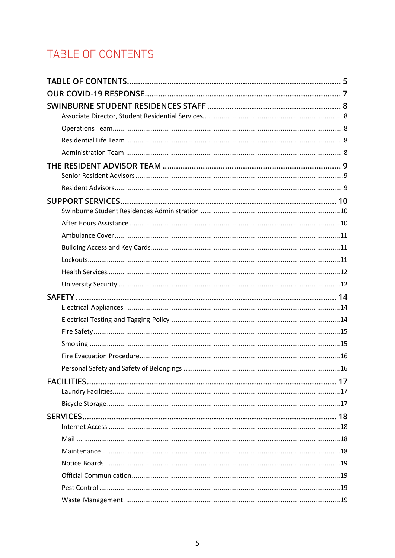# <span id="page-4-0"></span>TABLE OF CONTENTS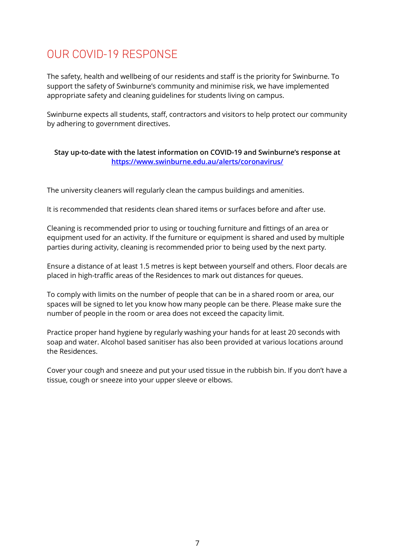### <span id="page-6-0"></span>OUR COVID-19 RESPONSE

The safety, health and wellbeing of our residents and staff is the priority for Swinburne. To support the safety of Swinburne's community and minimise risk, we have implemented appropriate safety and cleaning guidelines for students living on campus.

Swinburne expects all students, staff, contractors and visitors to help protect our community by adhering to government directives.

#### **Stay up-to-date with the latest information on COVID-19 and Swinburne's response at <https://www.swinburne.edu.au/alerts/coronavirus/>**

The university cleaners will regularly clean the campus buildings and amenities.

It is recommended that residents clean shared items or surfaces before and after use.

Cleaning is recommended prior to using or touching furniture and fittings of an area or equipment used for an activity. If the furniture or equipment is shared and used by multiple parties during activity, cleaning is recommended prior to being used by the next party.

Ensure a distance of at least 1.5 metres is kept between yourself and others. Floor decals are placed in high-traffic areas of the Residences to mark out distances for queues.

To comply with limits on the number of people that can be in a shared room or area, our spaces will be signed to let you know how many people can be there. Please make sure the number of people in the room or area does not exceed the capacity limit.

Practice proper hand hygiene by regularly washing your hands for at least 20 seconds with soap and water. Alcohol based sanitiser has also been provided at various locations around the Residences.

Cover your cough and sneeze and put your used tissue in the rubbish bin. If you don't have a tissue, cough or sneeze into your upper sleeve or elbows.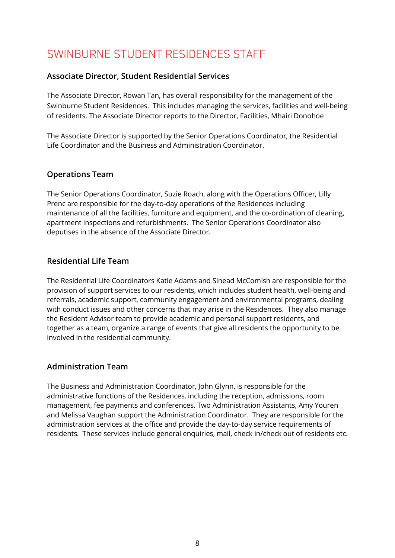### <span id="page-7-0"></span>SWINBURNE STUDENT RESIDENCES STAFF

#### <span id="page-7-1"></span>**Associate Director, Student Residential Services**

The Associate Director, Rowan Tan, has overall responsibility for the management of the Swinburne Student Residences. This includes managing the services, facilities and well-being of residents. The Associate Director reports to the Director, Facilities, Mhairi Donohoe

The Associate Director is supported by the Senior Operations Coordinator, the Residential Life Coordinator and the Business and Administration Coordinator.

#### <span id="page-7-2"></span>**Operations Team**

The Senior Operations Coordinator, Suzie Roach, along with the Operations Officer, Lilly Prenc are responsible for the day-to-day operations of the Residences including maintenance of all the facilities, furniture and equipment, and the co-ordination of cleaning, apartment inspections and refurbishments. The Senior Operations Coordinator also deputises in the absence of the Associate Director.

#### <span id="page-7-3"></span>**Residential Life Team**

The Residential Life Coordinators Katie Adams and Sinead McComish are responsible for the provision of support services to our residents, which includes student health, well-being and referrals, academic support, community engagement and environmental programs, dealing with conduct issues and other concerns that may arise in the Residences. They also manage the Resident Advisor team to provide academic and personal support residents, and together as a team, organize a range of events that give all residents the opportunity to be involved in the residential community.

#### <span id="page-7-4"></span>**Administration Team**

The Business and Administration Coordinator, John Glynn, is responsible for the administrative functions of the Residences, including the reception, admissions, room management, fee payments and conferences. Two Administration Assistants, Amy Youren and Melissa Vaughan support the Administration Coordinator. They are responsible for the administration services at the office and provide the day-to-day service requirements of residents. These services include general enquiries, mail, check in/check out of residents etc.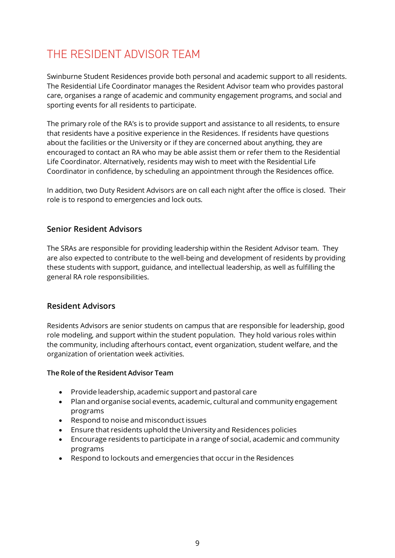### <span id="page-8-0"></span>THE RESIDENT ADVISOR TEAM

Swinburne Student Residences provide both personal and academic support to all residents. The Residential Life Coordinator manages the Resident Advisor team who provides pastoral care, organises a range of academic and community engagement programs, and social and sporting events for all residents to participate.

The primary role of the RA's is to provide support and assistance to all residents, to ensure that residents have a positive experience in the Residences. If residents have questions about the facilities or the University or if they are concerned about anything, they are encouraged to contact an RA who may be able assist them or refer them to the Residential Life Coordinator. Alternatively, residents may wish to meet with the Residential Life Coordinator in confidence, by scheduling an appointment through the Residences office.

In addition, two Duty Resident Advisors are on call each night after the office is closed. Their role is to respond to emergencies and lock outs.

#### <span id="page-8-1"></span>**Senior Resident Advisors**

The SRAs are responsible for providing leadership within the Resident Advisor team. They are also expected to contribute to the well-being and development of residents by providing these students with support, guidance, and intellectual leadership, as well as fulfilling the general RA role responsibilities.

#### <span id="page-8-2"></span>**Resident Advisors**

Residents Advisors are senior students on campus that are responsible for leadership, good role modeling, and support within the student population. They hold various roles within the community, including afterhours contact, event organization, student welfare, and the organization of orientation week activities.

#### **The Role of the Resident Advisor Team**

- Provide leadership, academic support and pastoral care
- Plan and organise social events, academic, cultural and community engagement programs
- Respond to noise and misconduct issues
- Ensure that residents uphold the University and Residences policies
- Encourage residents to participate in a range of social, academic and community programs
- Respond to lockouts and emergencies that occur in the Residences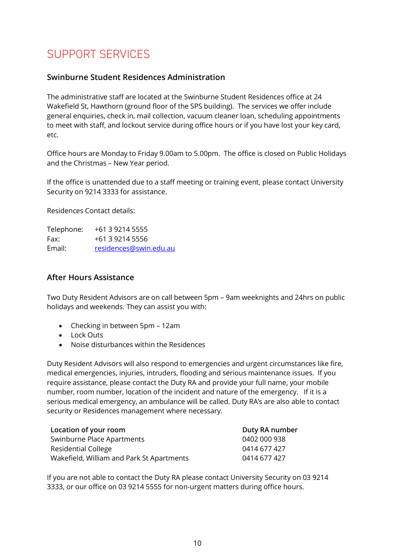### <span id="page-9-0"></span>SUPPORT SERVICES

#### <span id="page-9-1"></span>**Swinburne Student Residences Administration**

The administrative staff are located at the Swinburne Student Residences office at 24 Wakefield St, Hawthorn (ground floor of the SPS building). The services we offer include general enquiries, check in, mail collection, vacuum cleaner loan, scheduling appointments to meet with staff, and lockout service during office hours or if you have lost your key card, etc.

Office hours are Monday to Friday 9.00am to 5.00pm. The office is closed on Public Holidays and the Christmas – New Year period.

If the office is unattended due to a staff meeting or training event, please contact University Security on 9214 3333 for assistance.

Residences Contact details:

Telephone: +61 3 9214 5555 Fax: +61 3 9214 5556 Email: [residences@swin.edu.au](mailto:residences@swin.edu.au)

#### <span id="page-9-2"></span>**After Hours Assistance**

Two Duty Resident Advisors are on call between 5pm – 9am weeknights and 24hrs on public holidays and weekends. They can assist you with:

- Checking in between 5pm 12am
- Lock Outs
- Noise disturbances within the Residences

Duty Resident Advisors will also respond to emergencies and urgent circumstances like fire, medical emergencies, injuries, intruders, flooding and serious maintenance issues. If you require assistance, please contact the Duty RA and provide your full name, your mobile number, room number, location of the incident and nature of the emergency. If it is a serious medical emergency, an ambulance will be called. Duty RA's are also able to contact security or Residences management where necessary.

| Location of your room                     | Duty RA number |
|-------------------------------------------|----------------|
| Swinburne Place Apartments                | 0402 000 938   |
| Residential College                       | 0414 677 427   |
| Wakefield, William and Park St Apartments | 0414 677 427   |

If you are not able to contact the Duty RA please contact University Security on 03 9214 3333, or our office on 03 9214 5555 for non-urgent matters during office hours.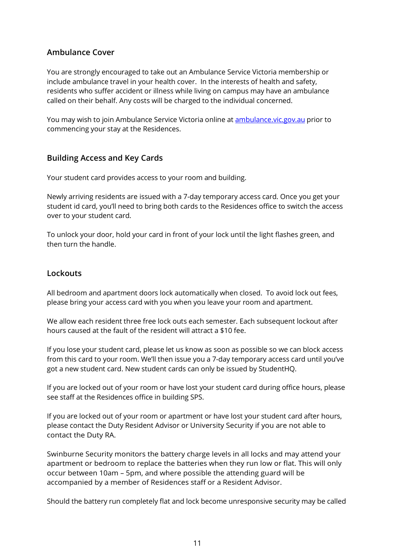#### <span id="page-10-0"></span>**Ambulance Cover**

You are strongly encouraged to take out an Ambulance Service Victoria membership or include ambulance travel in your health cover. In the interests of health and safety, residents who suffer accident or illness while living on campus may have an ambulance called on their behalf. Any costs will be charged to the individual concerned.

You may wish to join Ambulance Service Victoria online at [ambulance.vic.gov.au](https://ambulance.vic.gov.au/) prior to commencing your stay at the Residences.

#### <span id="page-10-1"></span>**Building Access and Key Cards**

Your student card provides access to your room and building.

Newly arriving residents are issued with a 7-day temporary access card. Once you get your student id card, you'll need to bring both cards to the Residences office to switch the access over to your student card.

To unlock your door, hold your card in front of your lock until the light flashes green, and then turn the handle.

#### <span id="page-10-2"></span>**Lockouts**

All bedroom and apartment doors lock automatically when closed. To avoid lock out fees, please bring your access card with you when you leave your room and apartment.

We allow each resident three free lock outs each semester. Each subsequent lockout after hours caused at the fault of the resident will attract a \$10 fee.

If you lose your student card, please let us know as soon as possible so we can block access from this card to your room. We'll then issue you a 7-day temporary access card until you've got a new student card. New student cards can only be issued by StudentHQ.

If you are locked out of your room or have lost your student card during office hours, please see staff at the Residences office in building SPS.

If you are locked out of your room or apartment or have lost your student card after hours, please contact the Duty Resident Advisor or University Security if you are not able to contact the Duty RA.

Swinburne Security monitors the battery charge levels in all locks and may attend your apartment or bedroom to replace the batteries when they run low or flat. This will only occur between 10am – 5pm, and where possible the attending guard will be accompanied by a member of Residences staff or a Resident Advisor.

Should the battery run completely flat and lock become unresponsive security may be called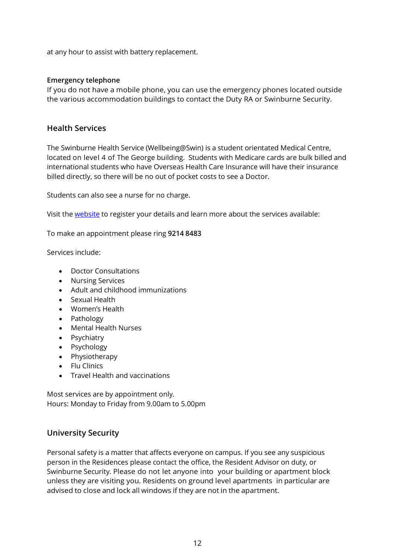at any hour to assist with battery replacement.

#### **Emergency telephone**

If you do not have a mobile phone, you can use the emergency phones located outside the various accommodation buildings to contact the Duty RA or Swinburne Security.

#### <span id="page-11-0"></span>**Health Services**

The Swinburne Health Service (Wellbeing@Swin) is a student orientated Medical Centre, located on level 4 of The George building. Students with Medicare cards are bulk billed and international students who have Overseas Health Care Insurance will have their insurance billed directly, so there will be no out of pocket costs to see a Doctor.

Students can also see a nurse for no charge.

Visit th[e website](https://www.swinburne.edu.au/current-students/student-services-support/health/counselling/) to register your details and learn more about the services available:

To make an appointment please ring **9214 8483**

Services include:

- Doctor Consultations
- Nursing Services
- Adult and childhood immunizations
- Sexual Health
- Women's Health
- Pathology
- Mental Health Nurses
- Psychiatry
- Psychology
- Physiotherapy
- Flu Clinics
- Travel Health and vaccinations

Most services are by appointment only. Hours: Monday to Friday from 9.00am to 5.00pm

#### <span id="page-11-1"></span>**University Security**

Personal safety is a matter that affects everyone on campus. If you see any suspicious person in the Residences please contact the office, the Resident Advisor on duty, or Swinburne Security. Please do not let anyone into your building or apartment block unless they are visiting you. Residents on ground level apartments in particular are advised to close and lock all windows if they are not in the apartment.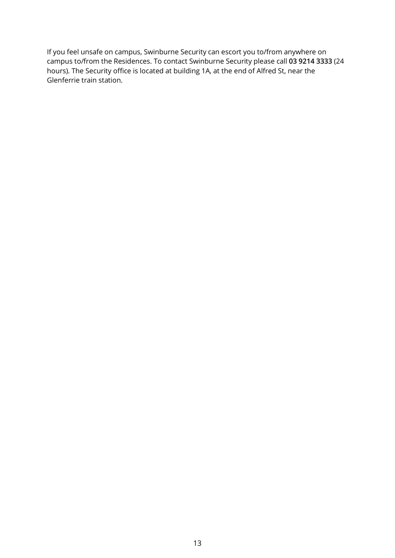If you feel unsafe on campus, Swinburne Security can escort you to/from anywhere on campus to/from the Residences. To contact Swinburne Security please call **03 9214 3333** (24 hours). The Security office is located at building 1A, at the end of Alfred St, near the Glenferrie train station.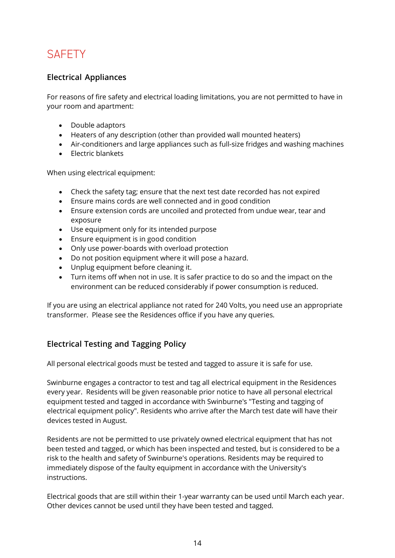### <span id="page-13-0"></span>**SAFFTY**

### <span id="page-13-1"></span>**Electrical Appliances**

For reasons of fire safety and electrical loading limitations, you are not permitted to have in your room and apartment:

- Double adaptors
- Heaters of any description (other than provided wall mounted heaters)
- Air-conditioners and large appliances such as full-size fridges and washing machines
- Electric blankets

When using electrical equipment:

- Check the safety tag; ensure that the next test date recorded has not expired
- Ensure mains cords are well connected and in good condition
- Ensure extension cords are uncoiled and protected from undue wear, tear and exposure
- Use equipment only for its intended purpose
- Ensure equipment is in good condition
- Only use power-boards with overload protection
- Do not position equipment where it will pose a hazard.
- Unplug equipment before cleaning it.
- Turn items off when not in use. It is safer practice to do so and the impact on the environment can be reduced considerably if power consumption is reduced.

If you are using an electrical appliance not rated for 240 Volts, you need use an appropriate transformer. Please see the Residences office if you have any queries.

### <span id="page-13-2"></span>**Electrical Testing and Tagging Policy**

All personal electrical goods must be tested and tagged to assure it is safe for use.

Swinburne engages a contractor to test and tag all electrical equipment in the Residences every year. Residents will be given reasonable prior notice to have all personal electrical equipment tested and tagged in accordance with Swinburne's "Testing and tagging of electrical equipment policy". Residents who arrive after the March test date will have their devices tested in August.

Residents are not be permitted to use privately owned electrical equipment that has not been tested and tagged, or which has been inspected and tested, but is considered to be a risk to the health and safety of Swinburne's operations. Residents may be required to immediately dispose of the faulty equipment in accordance with the University's instructions.

Electrical goods that are still within their 1-year warranty can be used until March each year. Other devices cannot be used until they have been tested and tagged.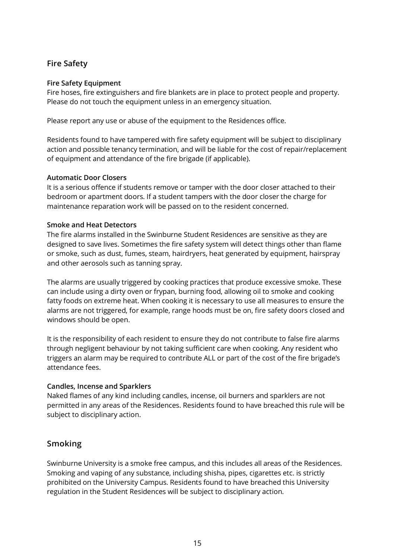#### <span id="page-14-0"></span>**Fire Safety**

#### **Fire Safety Equipment**

Fire hoses, fire extinguishers and fire blankets are in place to protect people and property. Please do not touch the equipment unless in an emergency situation.

Please report any use or abuse of the equipment to the Residences office.

Residents found to have tampered with fire safety equipment will be subject to disciplinary action and possible tenancy termination, and will be liable for the cost of repair/replacement of equipment and attendance of the fire brigade (if applicable).

#### **Automatic Door Closers**

It is a serious offence if students remove or tamper with the door closer attached to their bedroom or apartment doors. If a student tampers with the door closer the charge for maintenance reparation work will be passed on to the resident concerned.

#### **Smoke and Heat Detectors**

The fire alarms installed in the Swinburne Student Residences are sensitive as they are designed to save lives. Sometimes the fire safety system will detect things other than flame or smoke, such as dust, fumes, steam, hairdryers, heat generated by equipment, hairspray and other aerosols such as tanning spray.

The alarms are usually triggered by cooking practices that produce excessive smoke. These can include using a dirty oven or frypan, burning food, allowing oil to smoke and cooking fatty foods on extreme heat. When cooking it is necessary to use all measures to ensure the alarms are not triggered, for example, range hoods must be on, fire safety doors closed and windows should be open.

It is the responsibility of each resident to ensure they do not contribute to false fire alarms through negligent behaviour by not taking sufficient care when cooking. Any resident who triggers an alarm may be required to contribute ALL or part of the cost of the fire brigade's attendance fees.

#### **Candles, Incense and Sparklers**

Naked flames of any kind including candles, incense, oil burners and sparklers are not permitted in any areas of the Residences. Residents found to have breached this rule will be subject to disciplinary action.

#### <span id="page-14-1"></span>**Smoking**

Swinburne University is a smoke free campus, and this includes all areas of the Residences. Smoking and vaping of any substance, including shisha, pipes, cigarettes etc. is strictly prohibited on the University Campus. Residents found to have breached this University regulation in the Student Residences will be subject to disciplinary action.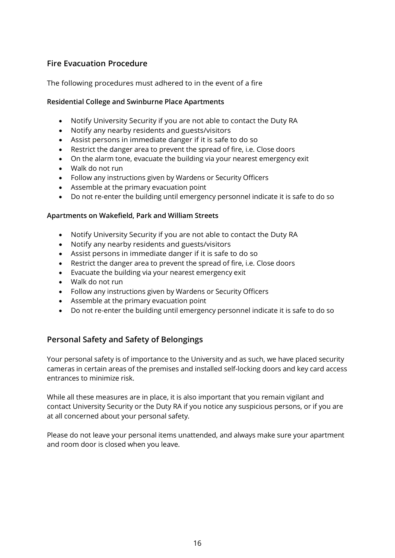### <span id="page-15-0"></span>**Fire Evacuation Procedure**

The following procedures must adhered to in the event of a fire

#### **Residential College and Swinburne Place Apartments**

- Notify University Security if you are not able to contact the Duty RA
- Notify any nearby residents and guests/visitors
- Assist persons in immediate danger if it is safe to do so
- Restrict the danger area to prevent the spread of fire, i.e. Close doors
- On the alarm tone, evacuate the building via your nearest emergency exit
- Walk do not run
- Follow any instructions given by Wardens or Security Officers
- Assemble at the primary evacuation point
- Do not re-enter the building until emergency personnel indicate it is safe to do so

#### **Apartments on Wakefield, Park and William Streets**

- Notify University Security if you are not able to contact the Duty RA
- Notify any nearby residents and guests/visitors
- Assist persons in immediate danger if it is safe to do so
- Restrict the danger area to prevent the spread of fire, i.e. Close doors
- Evacuate the building via your nearest emergency exit
- Walk do not run
- Follow any instructions given by Wardens or Security Officers
- Assemble at the primary evacuation point
- Do not re-enter the building until emergency personnel indicate it is safe to do so

#### <span id="page-15-1"></span>**Personal Safety and Safety of Belongings**

Your personal safety is of importance to the University and as such, we have placed security cameras in certain areas of the premises and installed self-locking doors and key card access entrances to minimize risk.

While all these measures are in place, it is also important that you remain vigilant and contact University Security or the Duty RA if you notice any suspicious persons, or if you are at all concerned about your personal safety.

Please do not leave your personal items unattended, and always make sure your apartment and room door is closed when you leave.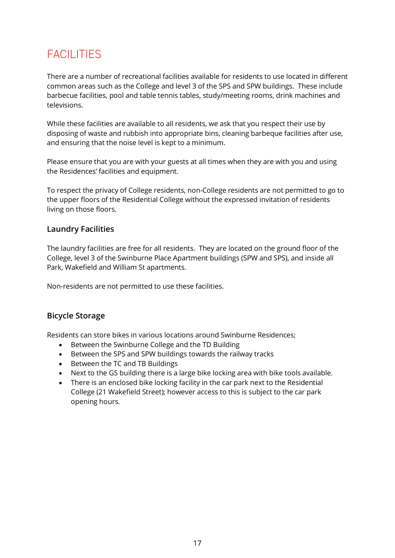### <span id="page-16-0"></span>FACILITIES

There are a number of recreational facilities available for residents to use located in different common areas such as the College and level 3 of the SPS and SPW buildings. These include barbecue facilities, pool and table tennis tables, study/meeting rooms, drink machines and televisions.

While these facilities are available to all residents, we ask that you respect their use by disposing of waste and rubbish into appropriate bins, cleaning barbeque facilities after use, and ensuring that the noise level is kept to a minimum.

Please ensure that you are with your guests at all times when they are with you and using the Residences' facilities and equipment.

To respect the privacy of College residents, non-College residents are not permitted to go to the upper floors of the Residential College without the expressed invitation of residents living on those floors.

#### <span id="page-16-1"></span>**Laundry Facilities**

The laundry facilities are free for all residents. They are located on the ground floor of the College, level 3 of the Swinburne Place Apartment buildings (SPW and SPS), and inside all Park, Wakefield and William St apartments.

Non-residents are not permitted to use these facilities.

### <span id="page-16-2"></span>**Bicycle Storage**

Residents can store bikes in various locations around Swinburne Residences;

- Between the Swinburne College and the TD Building
- Between the SPS and SPW buildings towards the railway tracks
- Between the TC and TB Buildings
- Next to the GS building there is a large bike locking area with bike tools available.
- There is an enclosed bike locking facility in the car park next to the Residential College (21 Wakefield Street); however access to this is subject to the car park opening hours.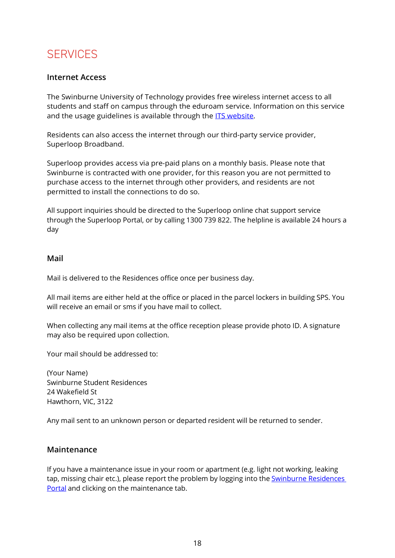### <span id="page-17-0"></span>**SERVICES**

#### <span id="page-17-1"></span>**Internet Access**

The Swinburne University of Technology provides free wireless internet access to all students and staff on campus through the eduroam service. Information on this service and the usage guidelines is available through the **ITS website.** 

Residents can also access the internet through our third-party service provider, Superloop Broadband.

Superloop provides access via pre-paid plans on a monthly basis. Please note that Swinburne is contracted with one provider, for this reason you are not permitted to purchase access to the internet through other providers, and residents are not permitted to install the connections to do so.

All support inquiries should be directed to the Superloop online chat support service through the Superloop Portal, or by calling 1300 739 822. The helpline is available 24 hours a day

#### <span id="page-17-2"></span>**Mail**

Mail is delivered to the Residences office once per business day.

All mail items are either held at the office or placed in the parcel lockers in building SPS. You will receive an email or sms if you have mail to collect.

When collecting any mail items at the office reception please provide photo ID. A signature may also be required upon collection.

Your mail should be addressed to:

(Your Name) Swinburne Student Residences 24 Wakefield St Hawthorn, VIC, 3122

Any mail sent to an unknown person or departed resident will be returned to sender.

#### <span id="page-17-3"></span>**Maintenance**

If you have a maintenance issue in your room or apartment (e.g. light not working, leaking tap, missing chair etc.), please report the problem by logging into the **Swinburne Residences** [Portal](https://starrez.swin.edu.au/StarRezPortal) and clicking on the maintenance tab.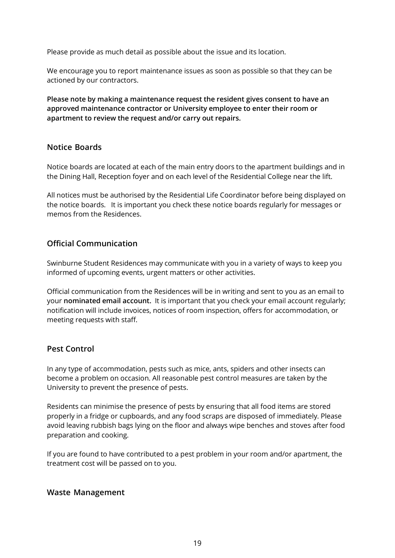Please provide as much detail as possible about the issue and its location.

We encourage you to report maintenance issues as soon as possible so that they can be actioned by our contractors.

**Please note by making a maintenance request the resident gives consent to have an approved maintenance contractor or University employee to enter their room or apartment to review the request and/or carry out repairs.**

#### <span id="page-18-0"></span>**Notice Boards**

Notice boards are located at each of the main entry doors to the apartment buildings and in the Dining Hall, Reception foyer and on each level of the Residential College near the lift.

All notices must be authorised by the Residential Life Coordinator before being displayed on the notice boards. It is important you check these notice boards regularly for messages or memos from the Residences.

#### <span id="page-18-1"></span>**Official Communication**

Swinburne Student Residences may communicate with you in a variety of ways to keep you informed of upcoming events, urgent matters or other activities.

Official communication from the Residences will be in writing and sent to you as an email to your **nominated email account.** It is important that you check your email account regularly; notification will include invoices, notices of room inspection, offers for accommodation, or meeting requests with staff.

#### <span id="page-18-2"></span>**Pest Control**

In any type of accommodation, pests such as mice, ants, spiders and other insects can become a problem on occasion. All reasonable pest control measures are taken by the University to prevent the presence of pests.

Residents can minimise the presence of pests by ensuring that all food items are stored properly in a fridge or cupboards, and any food scraps are disposed of immediately. Please avoid leaving rubbish bags lying on the floor and always wipe benches and stoves after food preparation and cooking.

If you are found to have contributed to a pest problem in your room and/or apartment, the treatment cost will be passed on to you.

#### <span id="page-18-3"></span>**Waste Management**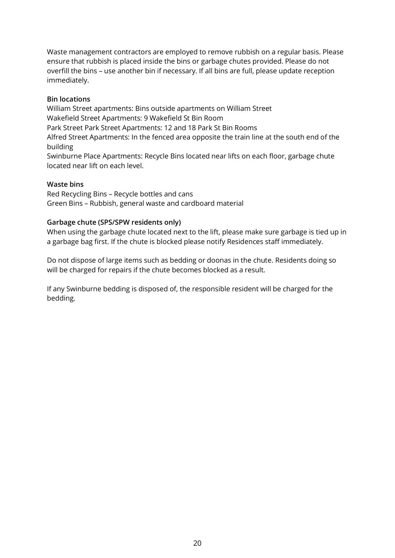Waste management contractors are employed to remove rubbish on a regular basis. Please ensure that rubbish is placed inside the bins or garbage chutes provided. Please do not overfill the bins – use another bin if necessary. If all bins are full, please update reception immediately.

#### **Bin locations**

William Street apartments: Bins outside apartments on William Street Wakefield Street Apartments: 9 Wakefield St Bin Room Park Street Park Street Apartments: 12 and 18 Park St Bin Rooms

Alfred Street Apartments: In the fenced area opposite the train line at the south end of the building

Swinburne Place Apartments: Recycle Bins located near lifts on each floor, garbage chute located near lift on each level.

#### **Waste bins**

Red Recycling Bins – Recycle bottles and cans Green Bins – Rubbish, general waste and cardboard material

#### **Garbage chute (SPS/SPW residents only)**

When using the garbage chute located next to the lift, please make sure garbage is tied up in a garbage bag first. If the chute is blocked please notify Residences staff immediately.

Do not dispose of large items such as bedding or doonas in the chute. Residents doing so will be charged for repairs if the chute becomes blocked as a result.

If any Swinburne bedding is disposed of, the responsible resident will be charged for the bedding.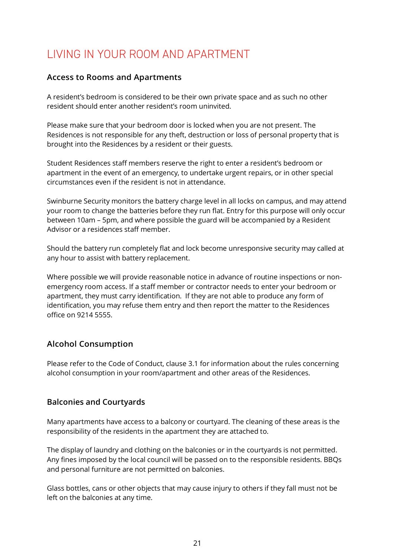### <span id="page-20-0"></span>LIVING IN YOUR ROOM AND APARTMENT

#### <span id="page-20-1"></span>**Access to Rooms and Apartments**

A resident's bedroom is considered to be their own private space and as such no other resident should enter another resident's room uninvited.

Please make sure that your bedroom door is locked when you are not present. The Residences is not responsible for any theft, destruction or loss of personal property that is brought into the Residences by a resident or their guests.

Student Residences staff members reserve the right to enter a resident's bedroom or apartment in the event of an emergency, to undertake urgent repairs, or in other special circumstances even if the resident is not in attendance.

Swinburne Security monitors the battery charge level in all locks on campus, and may attend your room to change the batteries before they run flat. Entry for this purpose will only occur between 10am – 5pm, and where possible the guard will be accompanied by a Resident Advisor or a residences staff member.

Should the battery run completely flat and lock become unresponsive security may called at any hour to assist with battery replacement.

Where possible we will provide reasonable notice in advance of routine inspections or nonemergency room access. If a staff member or contractor needs to enter your bedroom or apartment, they must carry identification. If they are not able to produce any form of identification, you may refuse them entry and then report the matter to the Residences office on 9214 5555.

### <span id="page-20-2"></span>**Alcohol Consumption**

Please refer to the Code of Conduct, clause 3.1 for information about the rules concerning alcohol consumption in your room/apartment and other areas of the Residences.

#### <span id="page-20-3"></span>**Balconies and Courtyards**

Many apartments have access to a balcony or courtyard. The cleaning of these areas is the responsibility of the residents in the apartment they are attached to.

The display of laundry and clothing on the balconies or in the courtyards is not permitted. Any fines imposed by the local council will be passed on to the responsible residents. BBQs and personal furniture are not permitted on balconies.

Glass bottles, cans or other objects that may cause injury to others if they fall must not be left on the balconies at any time.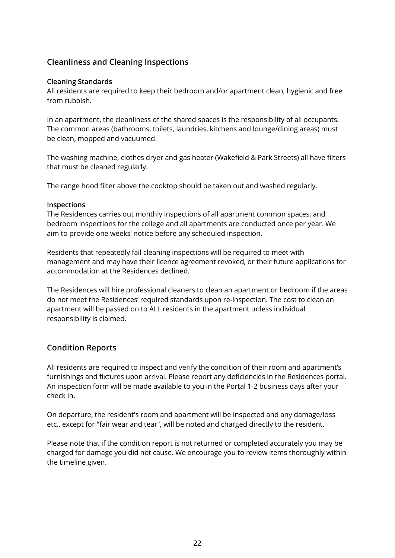### <span id="page-21-0"></span>**Cleanliness and Cleaning Inspections**

#### **Cleaning Standards**

All residents are required to keep their bedroom and/or apartment clean, hygienic and free from rubbish.

In an apartment, the cleanliness of the shared spaces is the responsibility of all occupants. The common areas (bathrooms, toilets, laundries, kitchens and lounge/dining areas) must be clean, mopped and vacuumed.

The washing machine, clothes dryer and gas heater (Wakefield & Park Streets) all have filters that must be cleaned regularly.

The range hood filter above the cooktop should be taken out and washed regularly.

#### **Inspections**

The Residences carries out monthly inspections of all apartment common spaces, and bedroom inspections for the college and all apartments are conducted once per year. We aim to provide one weeks' notice before any scheduled inspection.

Residents that repeatedly fail cleaning inspections will be required to meet with management and may have their licence agreement revoked, or their future applications for accommodation at the Residences declined.

The Residences will hire professional cleaners to clean an apartment or bedroom if the areas do not meet the Residences' required standards upon re-inspection. The cost to clean an apartment will be passed on to ALL residents in the apartment unless individual responsibility is claimed.

#### <span id="page-21-1"></span>**Condition Reports**

All residents are required to inspect and verify the condition of their room and apartment's furnishings and fixtures upon arrival. Please report any deficiencies in the Residences portal. An inspection form will be made available to you in the Portal 1-2 business days after your check in.

On departure, the resident's room and apartment will be inspected and any damage/loss etc., except for "fair wear and tear", will be noted and charged directly to the resident.

Please note that if the condition report is not returned or completed accurately you may be charged for damage you did not cause. We encourage you to review items thoroughly within the timeline given.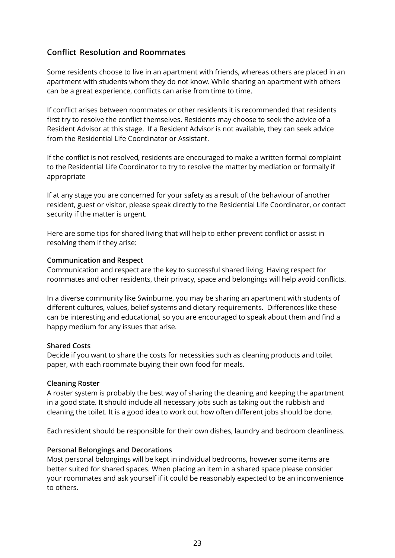#### <span id="page-22-0"></span>**Conflict Resolution and Roommates**

Some residents choose to live in an apartment with friends, whereas others are placed in an apartment with students whom they do not know. While sharing an apartment with others can be a great experience, conflicts can arise from time to time.

If conflict arises between roommates or other residents it is recommended that residents first try to resolve the conflict themselves. Residents may choose to seek the advice of a Resident Advisor at this stage. If a Resident Advisor is not available, they can seek advice from the Residential Life Coordinator or Assistant.

If the conflict is not resolved, residents are encouraged to make a written formal complaint to the Residential Life Coordinator to try to resolve the matter by mediation or formally if appropriate

If at any stage you are concerned for your safety as a result of the behaviour of another resident, guest or visitor, please speak directly to the Residential Life Coordinator, or contact security if the matter is urgent.

Here are some tips for shared living that will help to either prevent conflict or assist in resolving them if they arise:

#### **Communication and Respect**

Communication and respect are the key to successful shared living. Having respect for roommates and other residents, their privacy, space and belongings will help avoid conflicts.

In a diverse community like Swinburne, you may be sharing an apartment with students of different cultures, values, belief systems and dietary requirements. Differences like these can be interesting and educational, so you are encouraged to speak about them and find a happy medium for any issues that arise.

#### **Shared Costs**

Decide if you want to share the costs for necessities such as cleaning products and toilet paper, with each roommate buying their own food for meals.

#### **Cleaning Roster**

A roster system is probably the best way of sharing the cleaning and keeping the apartment in a good state. It should include all necessary jobs such as taking out the rubbish and cleaning the toilet. It is a good idea to work out how often different jobs should be done.

Each resident should be responsible for their own dishes, laundry and bedroom cleanliness.

#### **Personal Belongings and Decorations**

Most personal belongings will be kept in individual bedrooms, however some items are better suited for shared spaces. When placing an item in a shared space please consider your roommates and ask yourself if it could be reasonably expected to be an inconvenience to others.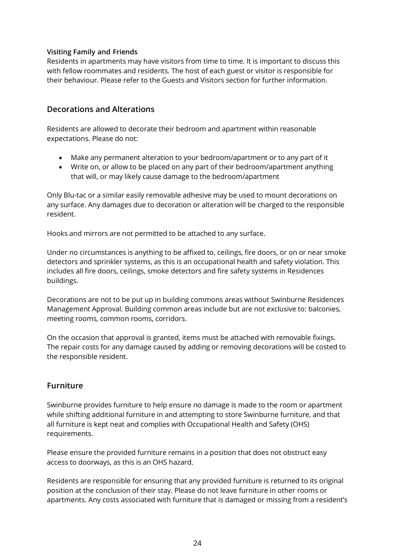#### **Visiting Family and Friends**

Residents in apartments may have visitors from time to time. It is important to discuss this with fellow roommates and residents. The host of each guest or visitor is responsible for their behaviour. Please refer to the Guests and Visitors section for further information.

#### <span id="page-23-0"></span>**Decorations and Alterations**

Residents are allowed to decorate their bedroom and apartment within reasonable expectations. Please do not:

- Make any permanent alteration to your bedroom/apartment or to any part of it
- Write on, or allow to be placed on any part of their bedroom/apartment anything that will, or may likely cause damage to the bedroom/apartment

Only Blu-tac or a similar easily removable adhesive may be used to mount decorations on any surface. Any damages due to decoration or alteration will be charged to the responsible resident.

Hooks and mirrors are not permitted to be attached to any surface.

Under no circumstances is anything to be affixed to, ceilings, fire doors, or on or near smoke detectors and sprinkler systems, as this is an occupational health and safety violation. This includes all fire doors, ceilings, smoke detectors and fire safety systems in Residences buildings.

Decorations are not to be put up in building commons areas without Swinburne Residences Management Approval. Building common areas include but are not exclusive to: balconies, meeting rooms, common rooms, corridors.

On the occasion that approval is granted, items must be attached with removable fixings. The repair costs for any damage caused by adding or removing decorations will be costed to the responsible resident.

#### <span id="page-23-1"></span>**Furniture**

Swinburne provides furniture to help ensure no damage is made to the room or apartment while shifting additional furniture in and attempting to store Swinburne furniture, and that all furniture is kept neat and complies with Occupational Health and Safety (OHS) requirements.

Please ensure the provided furniture remains in a position that does not obstruct easy access to doorways, as this is an OHS hazard.

Residents are responsible for ensuring that any provided furniture is returned to its original position at the conclusion of their stay. Please do not leave furniture in other rooms or apartments. Any costs associated with furniture that is damaged or missing from a resident's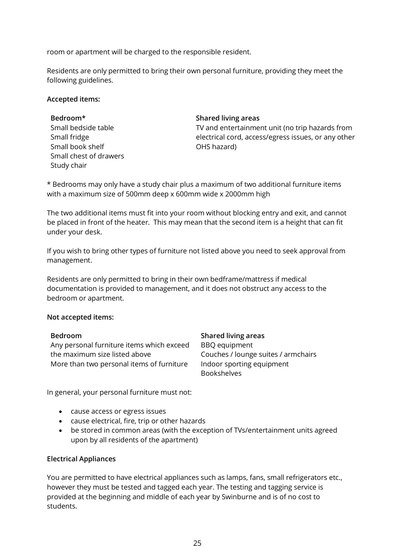room or apartment will be charged to the responsible resident.

Residents are only permitted to bring their own personal furniture, providing they meet the following guidelines.

#### **Accepted items:**

**Bedroom\* Shared living areas** Small bedside table Small fridge Small book shelf Small chest of drawers Study chair

TV and entertainment unit (no trip hazards from electrical cord, access/egress issues, or any other OHS hazard)

\* Bedrooms may only have a study chair plus a maximum of two additional furniture items with a maximum size of 500mm deep x 600mm wide x 2000mm high

The two additional items must fit into your room without blocking entry and exit, and cannot be placed in front of the heater. This may mean that the second item is a height that can fit under your desk.

If you wish to bring other types of furniture not listed above you need to seek approval from management.

Residents are only permitted to bring in their own bedframe/mattress if medical documentation is provided to management, and it does not obstruct any access to the bedroom or apartment.

#### **Not accepted items:**

Any personal furniture items which exceed the maximum size listed above More than two personal items of furniture Indoor sporting equipment

**Bedroom Shared living areas** BBQ equipment Couches / lounge suites / armchairs Bookshelves

In general, your personal furniture must not:

- cause access or egress issues
- cause electrical, fire, trip or other hazards
- be stored in common areas (with the exception of TVs/entertainment units agreed upon by all residents of the apartment)

#### **Electrical Appliances**

You are permitted to have electrical appliances such as lamps, fans, small refrigerators etc., however they must be tested and tagged each year. The testing and tagging service is provided at the beginning and middle of each year by Swinburne and is of no cost to students.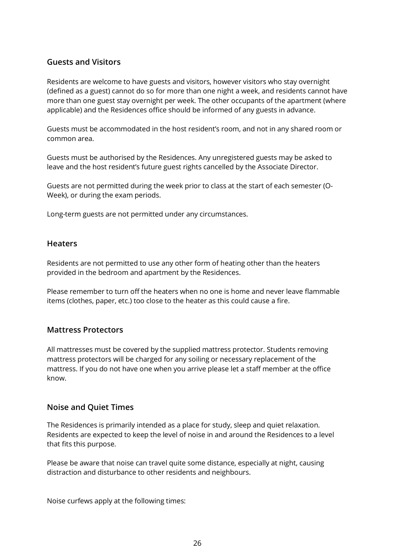#### <span id="page-25-0"></span>**Guests and Visitors**

Residents are welcome to have guests and visitors, however visitors who stay overnight (defined as a guest) cannot do so for more than one night a week, and residents cannot have more than one guest stay overnight per week. The other occupants of the apartment (where applicable) and the Residences office should be informed of any guests in advance.

Guests must be accommodated in the host resident's room, and not in any shared room or common area.

Guests must be authorised by the Residences. Any unregistered guests may be asked to leave and the host resident's future guest rights cancelled by the Associate Director.

Guests are not permitted during the week prior to class at the start of each semester (O-Week), or during the exam periods.

Long-term guests are not permitted under any circumstances.

#### <span id="page-25-1"></span>**Heaters**

Residents are not permitted to use any other form of heating other than the heaters provided in the bedroom and apartment by the Residences.

Please remember to turn off the heaters when no one is home and never leave flammable items (clothes, paper, etc.) too close to the heater as this could cause a fire.

#### <span id="page-25-2"></span>**Mattress Protectors**

All mattresses must be covered by the supplied mattress protector. Students removing mattress protectors will be charged for any soiling or necessary replacement of the mattress. If you do not have one when you arrive please let a staff member at the office know.

#### <span id="page-25-3"></span>**Noise and Quiet Times**

The Residences is primarily intended as a place for study, sleep and quiet relaxation. Residents are expected to keep the level of noise in and around the Residences to a level that fits this purpose.

Please be aware that noise can travel quite some distance, especially at night, causing distraction and disturbance to other residents and neighbours.

Noise curfews apply at the following times: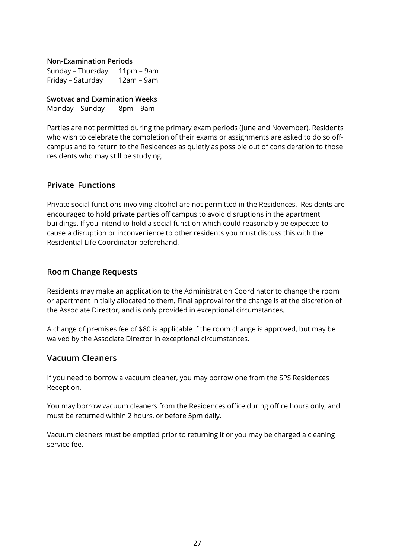**Non-Examination Periods**

Sunday – Thursday 11pm – 9am Friday – Saturday 12am – 9am

**Swotvac and Examination Weeks** Monday – Sunday 8pm – 9am

Parties are not permitted during the primary exam periods (June and November). Residents who wish to celebrate the completion of their exams or assignments are asked to do so offcampus and to return to the Residences as quietly as possible out of consideration to those residents who may still be studying.

#### <span id="page-26-0"></span>**Private Functions**

Private social functions involving alcohol are not permitted in the Residences. Residents are encouraged to hold private parties off campus to avoid disruptions in the apartment buildings. If you intend to hold a social function which could reasonably be expected to cause a disruption or inconvenience to other residents you must discuss this with the Residential Life Coordinator beforehand.

#### <span id="page-26-1"></span>**Room Change Requests**

Residents may make an application to the Administration Coordinator to change the room or apartment initially allocated to them. Final approval for the change is at the discretion of the Associate Director, and is only provided in exceptional circumstances.

A change of premises fee of \$80 is applicable if the room change is approved, but may be waived by the Associate Director in exceptional circumstances.

#### <span id="page-26-2"></span>**Vacuum Cleaners**

If you need to borrow a vacuum cleaner, you may borrow one from the SPS Residences Reception.

You may borrow vacuum cleaners from the Residences office during office hours only, and must be returned within 2 hours, or before 5pm daily.

Vacuum cleaners must be emptied prior to returning it or you may be charged a cleaning service fee.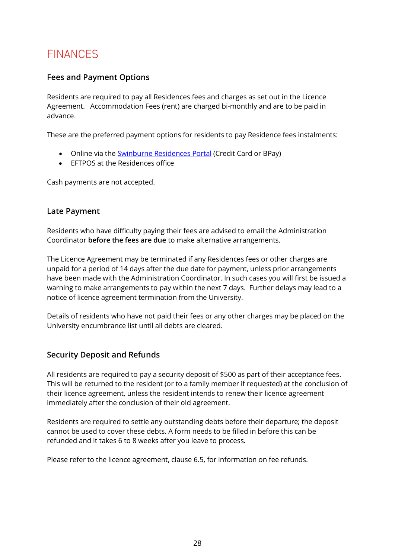### <span id="page-27-0"></span>FINANCES

#### <span id="page-27-1"></span>**Fees and Payment Options**

Residents are required to pay all Residences fees and charges as set out in the Licence Agreement. Accommodation Fees (rent) are charged bi-monthly and are to be paid in advance.

These are the preferred payment options for residents to pay Residence fees instalments:

- Online via the [Swinburne Residences](https://starrez.swin.edu.au/StarRezPortal) Portal (Credit Card or BPay)
- EFTPOS at the Residences office

Cash payments are not accepted.

#### <span id="page-27-2"></span>**Late Payment**

Residents who have difficulty paying their fees are advised to email the Administration Coordinator **before the fees are due** to make alternative arrangements.

The Licence Agreement may be terminated if any Residences fees or other charges are unpaid for a period of 14 days after the due date for payment, unless prior arrangements have been made with the Administration Coordinator. In such cases you will first be issued a warning to make arrangements to pay within the next 7 days. Further delays may lead to a notice of licence agreement termination from the University.

Details of residents who have not paid their fees or any other charges may be placed on the University encumbrance list until all debts are cleared.

#### <span id="page-27-3"></span>**Security Deposit and Refunds**

All residents are required to pay a security deposit of \$500 as part of their acceptance fees. This will be returned to the resident (or to a family member if requested) at the conclusion of their licence agreement, unless the resident intends to renew their licence agreement immediately after the conclusion of their old agreement.

Residents are required to settle any outstanding debts before their departure; the deposit cannot be used to cover these debts. A form needs to be filled in before this can be refunded and it takes 6 to 8 weeks after you leave to process.

Please refer to the licence agreement, clause 6.5, for information on fee refunds.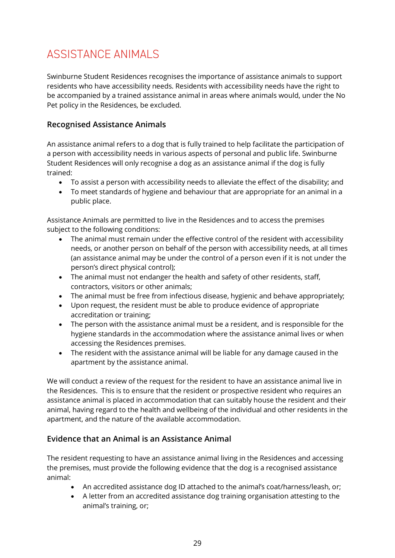### <span id="page-28-0"></span>ASSISTANCE ANIMALS

Swinburne Student Residences recognises the importance of assistance animals to support residents who have accessibility needs. Residents with accessibility needs have the right to be accompanied by a trained assistance animal in areas where animals would, under the No Pet policy in the Residences, be excluded.

#### <span id="page-28-1"></span>**Recognised Assistance Animals**

An assistance animal refers to a dog that is fully trained to help facilitate the participation of a person with accessibility needs in various aspects of personal and public life. Swinburne Student Residences will only recognise a dog as an assistance animal if the dog is fully trained:

- To assist a person with accessibility needs to alleviate the effect of the disability; and
- To meet standards of hygiene and behaviour that are appropriate for an animal in a public place.

Assistance Animals are permitted to live in the Residences and to access the premises subject to the following conditions:

- The animal must remain under the effective control of the resident with accessibility needs, or another person on behalf of the person with accessibility needs, at all times (an assistance animal may be under the control of a person even if it is not under the person's direct physical control);
- The animal must not endanger the health and safety of other residents, staff, contractors, visitors or other animals;
- The animal must be free from infectious disease, hygienic and behave appropriately;
- Upon request, the resident must be able to produce evidence of appropriate accreditation or training;
- The person with the assistance animal must be a resident, and is responsible for the hygiene standards in the accommodation where the assistance animal lives or when accessing the Residences premises.
- The resident with the assistance animal will be liable for any damage caused in the apartment by the assistance animal.

We will conduct a review of the request for the resident to have an assistance animal live in the Residences. This is to ensure that the resident or prospective resident who requires an assistance animal is placed in accommodation that can suitably house the resident and their animal, having regard to the health and wellbeing of the individual and other residents in the apartment, and the nature of the available accommodation.

### <span id="page-28-2"></span>**Evidence that an Animal is an Assistance Animal**

The resident requesting to have an assistance animal living in the Residences and accessing the premises, must provide the following evidence that the dog is a recognised assistance animal:

- An accredited assistance dog ID attached to the animal's coat/harness/leash, or;
- A letter from an accredited assistance dog training organisation attesting to the animal's training, or;